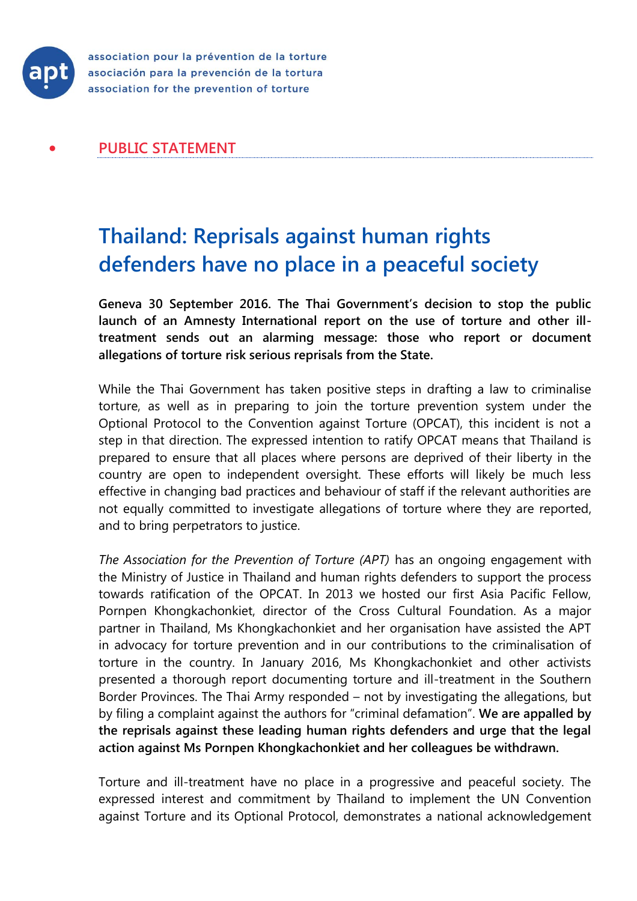

●

association pour la prévention de la torture asociación para la prevención de la tortura association for the prevention of torture

## **Thailand: Reprisals against human rights defenders have no place in a peaceful society**

**Geneva 30 September 2016. The Thai Government's decision to stop the public launch of an Amnesty International report on the use of torture and other illtreatment sends out an alarming message: those who report or document allegations of torture risk serious reprisals from the State.** 

While the Thai Government has taken positive steps in drafting a law to criminalise torture, as well as in preparing to join the torture prevention system under the Optional Protocol to the Convention against Torture (OPCAT), this incident is not a step in that direction. The expressed intention to ratify OPCAT means that Thailand is prepared to ensure that all places where persons are deprived of their liberty in the country are open to independent oversight. These efforts will likely be much less effective in changing bad practices and behaviour of staff if the relevant authorities are not equally committed to investigate allegations of torture where they are reported, and to bring perpetrators to justice.

*The Association for the Prevention of Torture (APT)* has an ongoing engagement with the Ministry of Justice in Thailand and human rights defenders to support the process towards ratification of the OPCAT. In 2013 we hosted our first Asia Pacific Fellow, Pornpen Khongkachonkiet, director of the Cross Cultural Foundation. As a major partner in Thailand, Ms Khongkachonkiet and her organisation have assisted the APT in advocacy for torture prevention and in our contributions to the criminalisation of torture in the country. In January 2016, Ms Khongkachonkiet and other activists presented a thorough report documenting torture and ill-treatment in the Southern Border Provinces. The Thai Army responded – not by investigating the allegations, but by filing a complaint against the authors for "criminal defamation". **We are appalled by the reprisals against these leading human rights defenders and urge that the legal action against Ms Pornpen Khongkachonkiet and her colleagues be withdrawn.**

Torture and ill-treatment have no place in a progressive and peaceful society. The expressed interest and commitment by Thailand to implement the UN Convention against Torture and its Optional Protocol, demonstrates a national acknowledgement